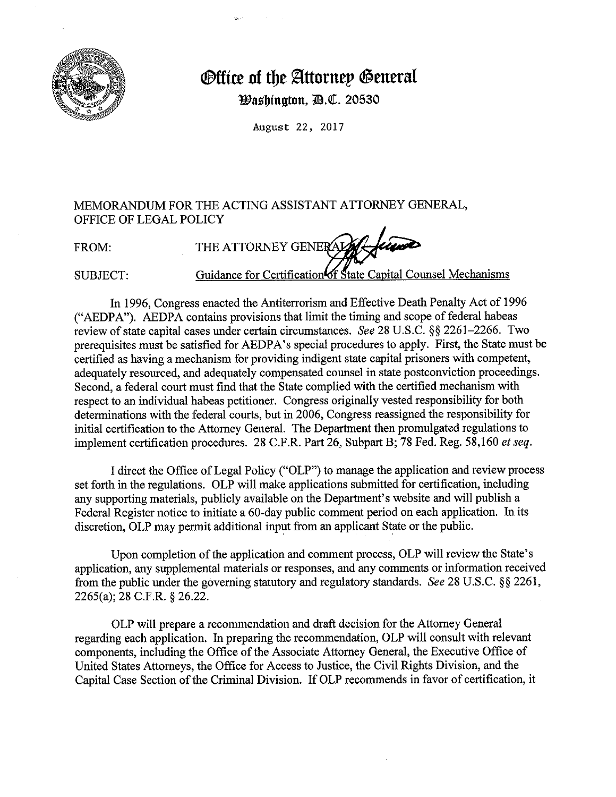

## *<u>®ffice</u>* **of the Attornep General**

*Washington, B.C. 20530* 

August 22, 2017

## MEMORANDUM FOR THE ACTING ASSISTANT ATTORNEY GENERAL, OFFICE OF LEGAL POLICY

FROM: THE ATTORNEY GENERALY Guidance for Certification of State Capital Counsel Mechanisms SUBJECT:

In 1996, Congress enacted the Antiterrorism and Effective Death Penalty Act of 1996 ("AEDPA"). AEDPA contains provisions that limit the timing and scope of federal habeas review of state capital cases under certain circumstances. *See* 28 U.S.C. §§ 2261-2266. Two prerequisites must be satisfied for AEDPA's special procedures to apply. First, the State must be certified as having a mechanism for providing indigent state capital prisoners with competent, adequately resourced, and adequately compensated counsel in state postconviction proceedings. Second, a federal court must find that the State complied with the certified mechanism with respect to an individual habeas petitioner. Congress originally vested responsibility for both determinations with the federal courts, but in 2006, Congress reassigned the responsibility for initial certification to the Attorney General. The Department then promulgated regulations to implement certification procedures. 28 C.F.R. Part 26, Subpart B; 78 Fed. Reg. 58,160 *et seq.* 

I direct the Office of Legal Policy ("OLP") to manage the application and review process set forth in the regulations. OLP will make applications submitted for certification, including any supporting materials, publicly available on the Department's website and will publish a Federal Register notice to initiate a 60-day public comment period on each application. In its discretion, OLP may permit additional input from an applicant State or the public.

Upon completion of the application and comment process, OLP will review the State's application, any supplemental materials or responses, and any comments or information received from the public under the governing statutory and regulatory standards. *See* 28 U.S.C. §§ 2261, 2265(a); 28 C.F.R. § 26.22.

OLP will prepare a recommendation and draft decision for the Attorney General regarding each application. In preparing the recommendation, OLP will consult with relevant components, including the Office of the Associate Attorney General, the Executive Office of United States Attorneys, the Office for Access to Justice, the Civil Rights Division, and the Capital Case Section of the Criminal Division. If OLP recommends in favor of certification, it